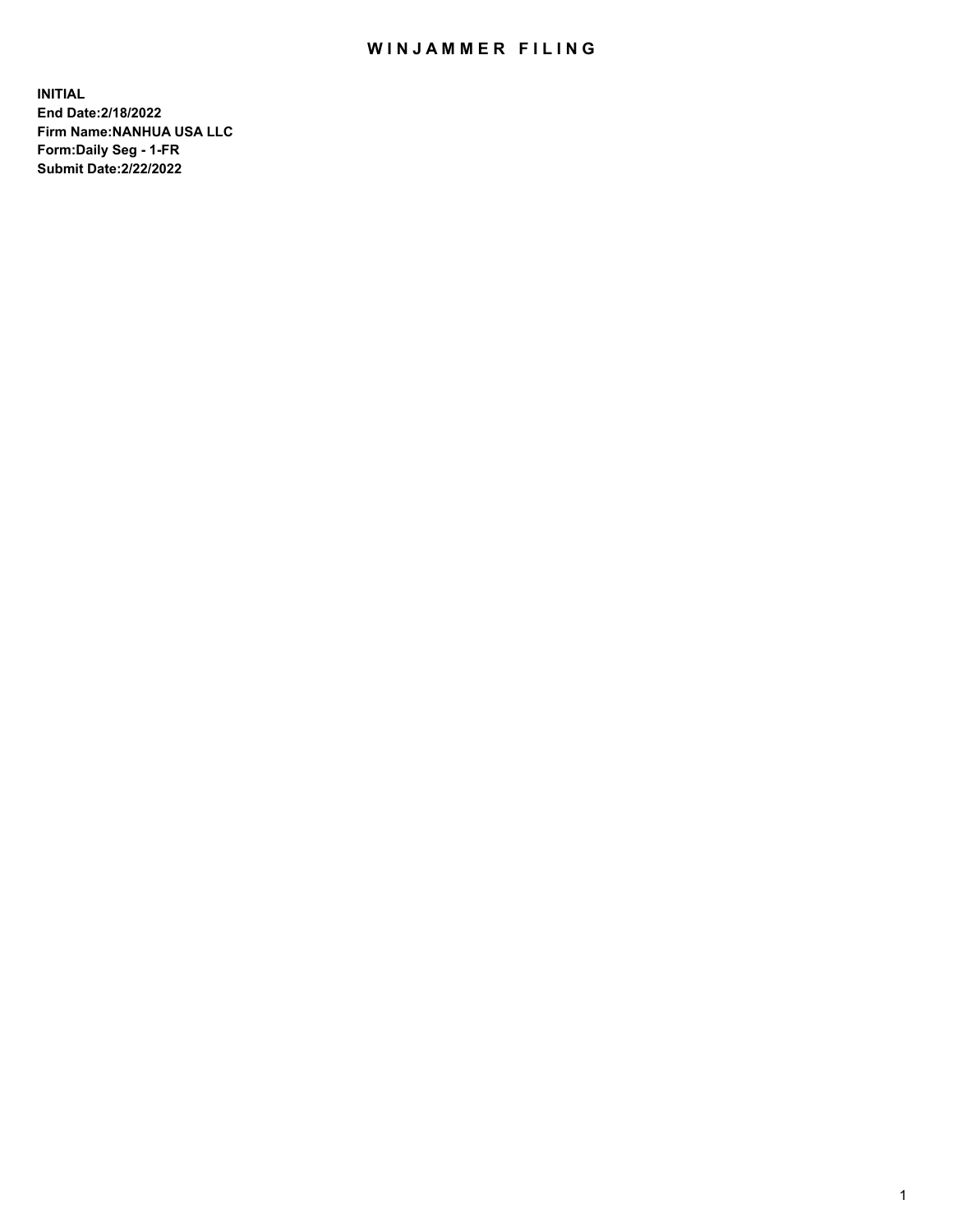## WIN JAMMER FILING

**INITIAL End Date:2/18/2022 Firm Name:NANHUA USA LLC Form:Daily Seg - 1-FR Submit Date:2/22/2022**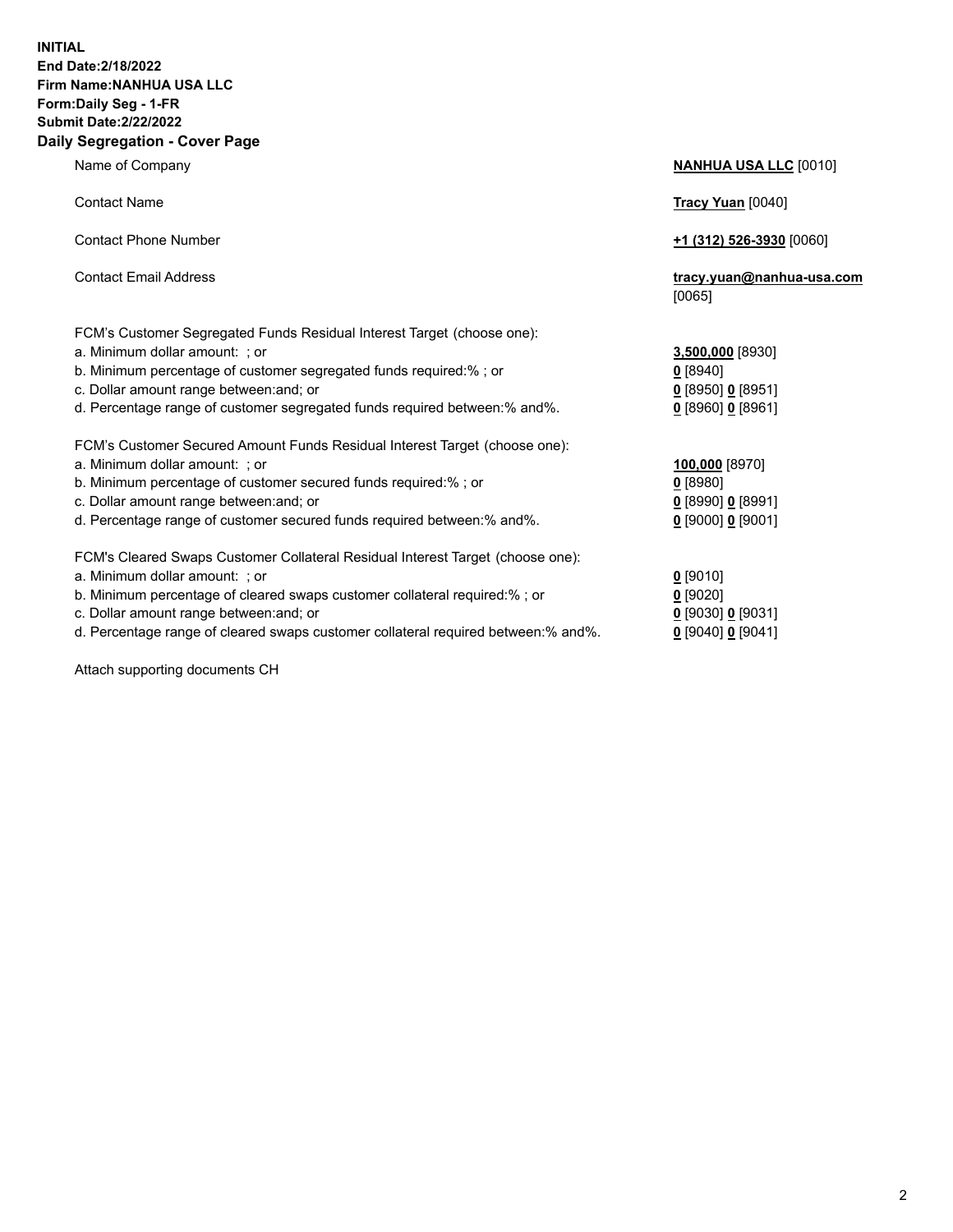## **INITIAL End Date:2/18/2022 Firm Name:NANHUA USA LLC Form:Daily Seg - 1-FR Submit Date:2/22/2022 Daily Segregation - Cover Page**

Name of Company **NANHUA USA LLC** [0010] Contact Name **Tracy Yuan** [0040] Contact Phone Number **+1 (312) 526-3930** [0060] Contact Email Address **tracy.yuan@nanhua-usa.com** [0065] FCM's Customer Segregated Funds Residual Interest Target (choose one): a. Minimum dollar amount: ; or **3,500,000** [8930] b. Minimum percentage of customer segregated funds required:% ; or **0** [8940] c. Dollar amount range between:and; or **0** [8950] **0** [8951] d. Percentage range of customer segregated funds required between:% and%. **0** [8960] **0** [8961] FCM's Customer Secured Amount Funds Residual Interest Target (choose one): a. Minimum dollar amount: ; or **100,000** [8970] b. Minimum percentage of customer secured funds required:% ; or **0** [8980] c. Dollar amount range between:and; or **0** [8990] **0** [8991] d. Percentage range of customer secured funds required between:% and%. **0** [9000] **0** [9001] FCM's Cleared Swaps Customer Collateral Residual Interest Target (choose one): a. Minimum dollar amount: ; or **0** [9010] b. Minimum percentage of cleared swaps customer collateral required:% ; or **0** [9020] c. Dollar amount range between:and; or **0** [9030] **0** [9031] d. Percentage range of cleared swaps customer collateral required between:% and%. **0** [9040] **0** [9041]

Attach supporting documents CH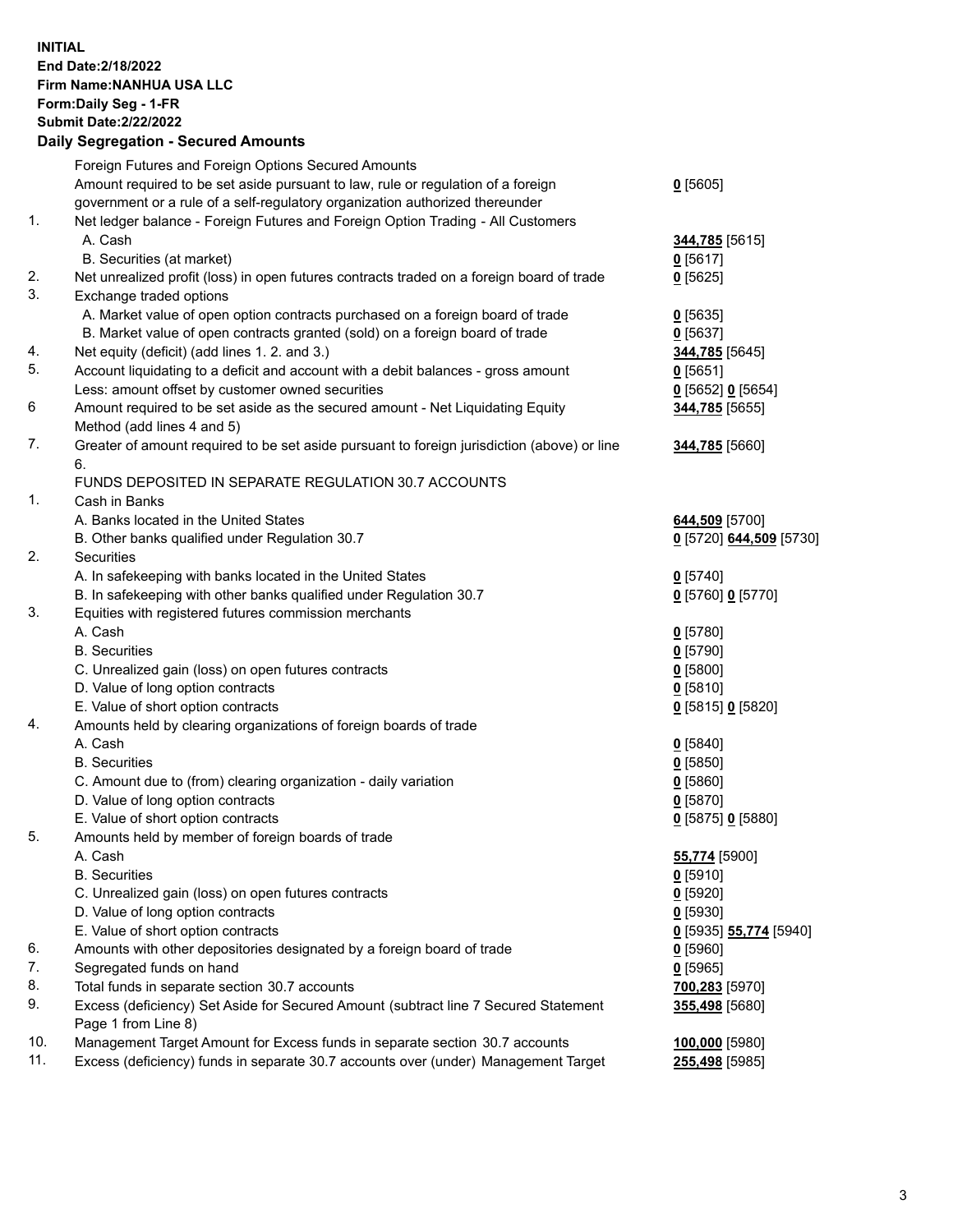**INITIAL End Date:2/18/2022 Firm Name:NANHUA USA LLC Form:Daily Seg - 1-FR Submit Date:2/22/2022**

## **Daily Segregation - Secured Amounts**

|     | Foreign Futures and Foreign Options Secured Amounts                                         |                                      |
|-----|---------------------------------------------------------------------------------------------|--------------------------------------|
|     | Amount required to be set aside pursuant to law, rule or regulation of a foreign            | $0$ [5605]                           |
|     | government or a rule of a self-regulatory organization authorized thereunder                |                                      |
| 1.  | Net ledger balance - Foreign Futures and Foreign Option Trading - All Customers             |                                      |
|     | A. Cash                                                                                     | 344,785 [5615]                       |
|     | B. Securities (at market)                                                                   | $0$ [5617]                           |
| 2.  | Net unrealized profit (loss) in open futures contracts traded on a foreign board of trade   | $0$ [5625]                           |
| 3.  | Exchange traded options                                                                     |                                      |
|     | A. Market value of open option contracts purchased on a foreign board of trade              | $Q$ [5635]                           |
|     | B. Market value of open contracts granted (sold) on a foreign board of trade                | $0$ [5637]                           |
| 4.  | Net equity (deficit) (add lines 1. 2. and 3.)                                               | 344,785 [5645]                       |
| 5.  | Account liquidating to a deficit and account with a debit balances - gross amount           | $0$ [5651]                           |
|     | Less: amount offset by customer owned securities                                            | 0 [5652] 0 [5654]                    |
| 6   | Amount required to be set aside as the secured amount - Net Liquidating Equity              | 344,785 [5655]                       |
|     | Method (add lines 4 and 5)                                                                  |                                      |
| 7.  | Greater of amount required to be set aside pursuant to foreign jurisdiction (above) or line | 344,785 [5660]                       |
|     | 6.                                                                                          |                                      |
|     |                                                                                             |                                      |
| 1.  | FUNDS DEPOSITED IN SEPARATE REGULATION 30.7 ACCOUNTS<br>Cash in Banks                       |                                      |
|     | A. Banks located in the United States                                                       |                                      |
|     |                                                                                             | 644,509 [5700]                       |
|     | B. Other banks qualified under Regulation 30.7                                              | 0 [5720] 644,509 [5730]              |
| 2.  | Securities                                                                                  |                                      |
|     | A. In safekeeping with banks located in the United States                                   | $0$ [5740]                           |
|     | B. In safekeeping with other banks qualified under Regulation 30.7                          | 0 [5760] 0 [5770]                    |
| 3.  | Equities with registered futures commission merchants                                       |                                      |
|     | A. Cash                                                                                     | $0$ [5780]                           |
|     | <b>B.</b> Securities                                                                        | $0$ [5790]                           |
|     | C. Unrealized gain (loss) on open futures contracts                                         | $0$ [5800]                           |
|     | D. Value of long option contracts                                                           | $0$ [5810]                           |
|     | E. Value of short option contracts                                                          | 0 [5815] 0 [5820]                    |
| 4.  | Amounts held by clearing organizations of foreign boards of trade                           |                                      |
|     | A. Cash                                                                                     | $Q$ [5840]                           |
|     | <b>B.</b> Securities                                                                        | $0$ [5850]                           |
|     | C. Amount due to (from) clearing organization - daily variation                             | $0$ [5860]                           |
|     | D. Value of long option contracts                                                           | $0$ [5870]                           |
|     | E. Value of short option contracts                                                          | 0 [5875] 0 [5880]                    |
| 5.  | Amounts held by member of foreign boards of trade                                           |                                      |
|     | A. Cash                                                                                     | 55,774 [5900]                        |
|     | <b>B.</b> Securities                                                                        | 0 [5910]                             |
|     | C. Unrealized gain (loss) on open futures contracts                                         | $0$ [5920]                           |
|     | D. Value of long option contracts                                                           | 0 [5930]                             |
|     | E. Value of short option contracts                                                          | <u>0</u> [5935] <b>55,774</b> [5940] |
| 6.  | Amounts with other depositories designated by a foreign board of trade                      | $0$ [5960]                           |
| 7.  | Segregated funds on hand                                                                    | $0$ [5965]                           |
| 8.  | Total funds in separate section 30.7 accounts                                               | 700,283 [5970]                       |
| 9.  | Excess (deficiency) Set Aside for Secured Amount (subtract line 7 Secured Statement         | 355,498 [5680]                       |
|     | Page 1 from Line 8)                                                                         |                                      |
| 10. | Management Target Amount for Excess funds in separate section 30.7 accounts                 | 100,000 [5980]                       |
| 11. | Excess (deficiency) funds in separate 30.7 accounts over (under) Management Target          | 255,498 [5985]                       |
|     |                                                                                             |                                      |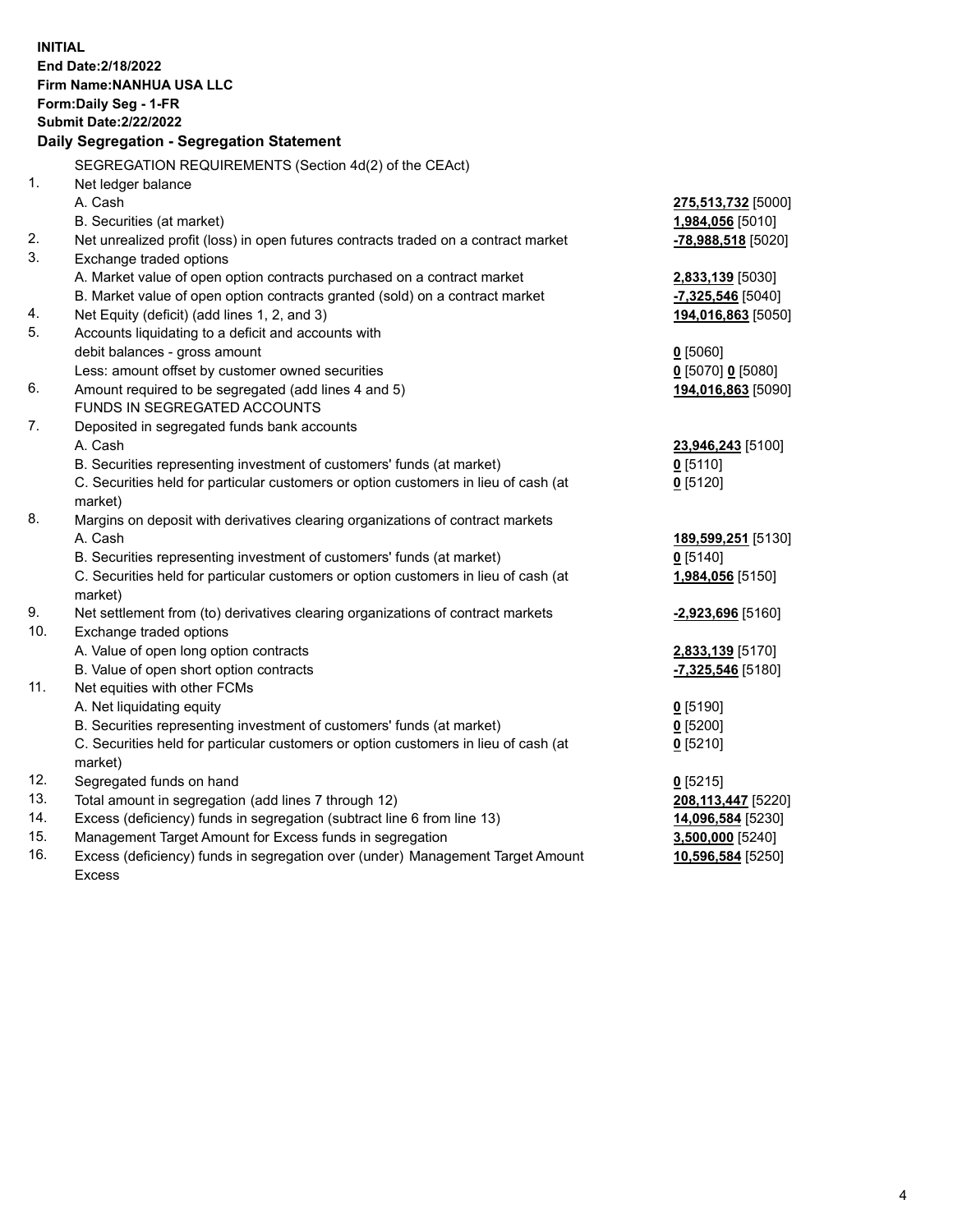| <b>INITIAL</b> | End Date: 2/18/2022<br>Firm Name: NANHUA USA LLC<br>Form: Daily Seg - 1-FR<br><b>Submit Date:2/22/2022</b><br>Daily Segregation - Segregation Statement |                                  |
|----------------|---------------------------------------------------------------------------------------------------------------------------------------------------------|----------------------------------|
|                | SEGREGATION REQUIREMENTS (Section 4d(2) of the CEAct)                                                                                                   |                                  |
| $\mathbf{1}$ . | Net ledger balance                                                                                                                                      |                                  |
|                | A. Cash                                                                                                                                                 | 275,513,732 [5000]               |
|                | B. Securities (at market)                                                                                                                               | 1,984,056 [5010]                 |
| 2.             | Net unrealized profit (loss) in open futures contracts traded on a contract market                                                                      | -78,988,518 [5020]               |
| 3.             | Exchange traded options                                                                                                                                 |                                  |
|                | A. Market value of open option contracts purchased on a contract market                                                                                 | <b>2,833,139</b> [5030]          |
|                | B. Market value of open option contracts granted (sold) on a contract market                                                                            | $-7,325,546$ [5040]              |
| 4.             | Net Equity (deficit) (add lines 1, 2, and 3)                                                                                                            | 194,016,863 [5050]               |
| 5.             | Accounts liquidating to a deficit and accounts with                                                                                                     |                                  |
|                | debit balances - gross amount                                                                                                                           | $0$ [5060]                       |
|                | Less: amount offset by customer owned securities                                                                                                        | $0$ [5070] 0 [5080]              |
| 6.             | Amount required to be segregated (add lines 4 and 5)                                                                                                    | 194,016,863 [5090]               |
|                | <b>FUNDS IN SEGREGATED ACCOUNTS</b>                                                                                                                     |                                  |
| 7.             | Deposited in segregated funds bank accounts                                                                                                             |                                  |
|                | A. Cash                                                                                                                                                 | 23,946,243 [5100]                |
|                | B. Securities representing investment of customers' funds (at market)                                                                                   | $0$ [5110]                       |
|                | C. Securities held for particular customers or option customers in lieu of cash (at                                                                     | $0$ [5120]                       |
| 8.             | market)                                                                                                                                                 |                                  |
|                | Margins on deposit with derivatives clearing organizations of contract markets<br>A. Cash                                                               |                                  |
|                | B. Securities representing investment of customers' funds (at market)                                                                                   | 189,599,251 [5130]<br>$0$ [5140] |
|                | C. Securities held for particular customers or option customers in lieu of cash (at                                                                     | 1,984,056 [5150]                 |
|                | market)                                                                                                                                                 |                                  |
| 9.             | Net settlement from (to) derivatives clearing organizations of contract markets                                                                         | -2,923,696 [5160]                |
| 10.            | Exchange traded options                                                                                                                                 |                                  |
|                | A. Value of open long option contracts                                                                                                                  | 2,833,139 [5170]                 |
|                | B. Value of open short option contracts                                                                                                                 | $-7,325,546$ [5180]              |
| 11.            | Net equities with other FCMs                                                                                                                            |                                  |
|                | A. Net liquidating equity                                                                                                                               | $0$ [5190]                       |
|                | B. Securities representing investment of customers' funds (at market)                                                                                   | $0$ [5200]                       |
|                | C. Securities held for particular customers or option customers in lieu of cash (at                                                                     | $0$ [5210]                       |
|                | market)                                                                                                                                                 |                                  |
| 12.            | Segregated funds on hand                                                                                                                                | $0$ [5215]                       |
| 13.            | Total amount in segregation (add lines 7 through 12)                                                                                                    | 208,113,447 [5220]               |
| 14.            | Excess (deficiency) funds in segregation (subtract line 6 from line 13)                                                                                 | 14,096,584 [5230]                |
| 15.            | Management Target Amount for Excess funds in segregation                                                                                                | 3,500,000 [5240]                 |
| 16.            | Excess (deficiency) funds in segregation over (under) Management Target Amount                                                                          | 10,596,584 [5250]                |
|                | <b>Excess</b>                                                                                                                                           |                                  |